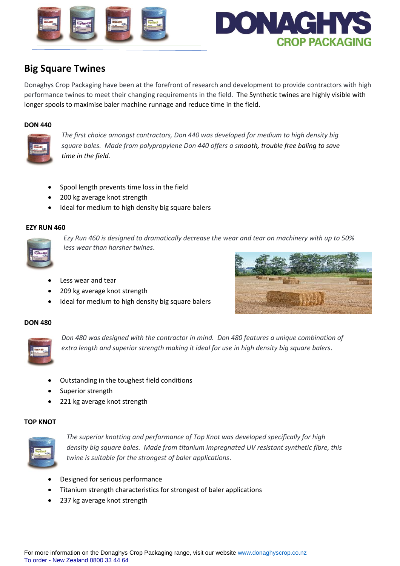



# **Big Square Twines**

Donaghys Crop Packaging have been at the forefront of research and development to provide contractors with high performance twines to meet their changing requirements in the field. The Synthetic twines are highly visible with longer spools to maximise baler machine runnage and reduce time in the field.

#### **DON 440**



*The first choice amongst contractors, Don 440 was developed for medium to high density big square bales. Made from polypropylene Don 440 offers a smooth, trouble free baling to save time in the field.*

- Spool length prevents time loss in the field
- 200 kg average knot strength
- Ideal for medium to high density big square balers

# **EZY RUN 460**



*Ezy Run 460 is designed to dramatically decrease the wear and tear on machinery with up to 50% less wear than harsher twines*.

- Less wear and tear
- 209 kg average knot strength
- Ideal for medium to high density big square balers



### **DON 480**



*Don 480 was designed with the contractor in mind. Don 480 features a unique combination of extra length and superior strength making it ideal for use in high density big square balers*.

- Outstanding in the toughest field conditions
- Superior strength
- 221 kg average knot strength

#### **TOP KNOT**



*The superior knotting and performance of Top Knot was developed specifically for high density big square bales. Made from titanium impregnated UV resistant synthetic fibre, this twine is suitable for the strongest of baler applications*.

- Designed for serious performance
- Titanium strength characteristics for strongest of baler applications
- 237 kg average knot strength